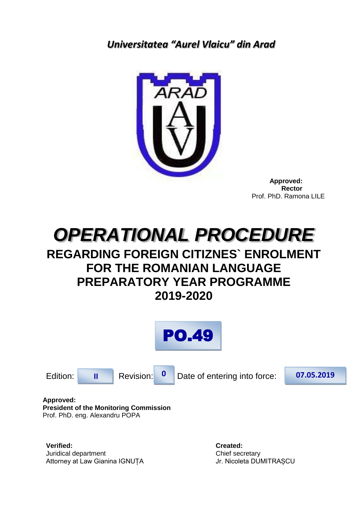<span id="page-0-0"></span>*Universitatea "Aurel Vlaicu" din Arad*



 **Approved: Rector** Prof. PhD. Ramona LILE



# **REGARDING FOREIGN CITIZNES` ENROLMENT FOR THE ROMANIAN LANGUAGE PREPARATORY YEAR PROGRAMME 2019-2020**





**Approved: President of the Monitoring Commission** Prof. PhD. eng. Alexandru POPA

**Verified: Created:** Juridical department Chief secretary Attorney at Law Gianina IGNUȚA Jr. Nicoleta DUMITRAȘCU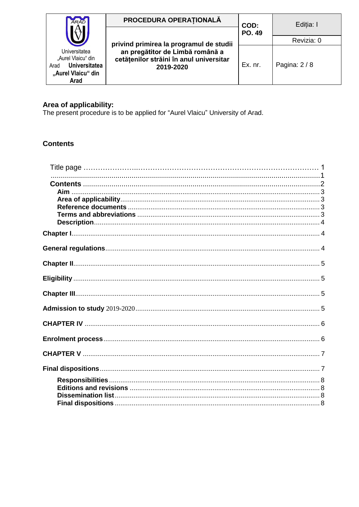| <b>ARAD</b>                                                                                       | PROCEDURA OPERAȚIONALĂ                                                                  | COD:          | Editia: I     |
|---------------------------------------------------------------------------------------------------|-----------------------------------------------------------------------------------------|---------------|---------------|
|                                                                                                   | privind primirea la programul de studii                                                 | <b>PO. 49</b> | Revizia: 0    |
| Universitatea<br>"Aurel Vlaicu" din<br><b>Universitatea</b><br>Arad<br>"Aurel Vlaicu" din<br>Arad | an pregătitor de Limbă română a<br>cetățenilor străini în anul universitar<br>2019-2020 | Ex. nr.       | Pagina: $2/8$ |

Area of applicability:<br>The present procedure is to be applied for "Aurel Vlaicu" University of Arad.

# <span id="page-1-0"></span>**Contents**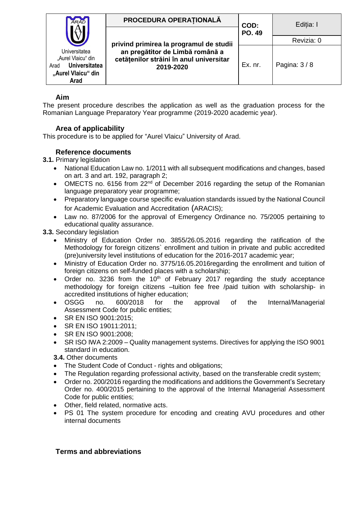| <b>ARAD</b>                                                                                       | PROCEDURA OPERATIONALĂ                                                                                                             | COD:          | Editia: I     |
|---------------------------------------------------------------------------------------------------|------------------------------------------------------------------------------------------------------------------------------------|---------------|---------------|
|                                                                                                   |                                                                                                                                    | <b>PO. 49</b> | Revizia: 0    |
| Universitatea<br>"Aurel Vlaicu" din<br><b>Universitatea</b><br>Arad<br>"Aurel Vlaicu" din<br>Arad | privind primirea la programul de studii<br>an pregătitor de Limbă română a<br>cetățenilor străini în anul universitar<br>2019-2020 | Ex. nr.       | Pagina: $3/8$ |

## **Aim**

<span id="page-2-0"></span>The present procedure describes the application as well as the graduation process for the Romanian Language Preparatory Year programme (2019-2020 academic year).

### **Area of applicability**

<span id="page-2-1"></span>This procedure is to be applied for "Aurel Vlaicu" University of Arad.

### **Reference documents**

<span id="page-2-2"></span>**3.1.** Primary legislation

- National Education Law no. 1/2011 with all subsequent modifications and changes, based on art. 3 and art. 192, paragraph 2;
- OMECTS no. 6156 from 22<sup>nd</sup> of December 2016 regarding the setup of the Romanian language preparatory year programme;
- Preparatory language course specific evaluation standards issued by the National Council for Academic Evaluation and Accreditation (ARACIS);
- Law no. 87/2006 for the approval of Emergency Ordinance no. 75/2005 pertaining to educational quality assurance.

**3.3.** Secondary legislation

- Ministry of Education Order no. 3855/26.05.2016 regarding the ratification of the Methodology for foreign citizens` enrollment and tuition in private and public accredited (pre)university level institutions of education for the 2016-2017 academic year;
- Ministry of Education Order no. 3775/16.05.2016regarding the enrollment and tuition of foreign citizens on self-funded places with a scholarship;
- Order no. 3236 from the 10<sup>th</sup> of February 2017 regarding the study acceptance methodology for foreign citizens –tuition fee free /paid tuition with scholarship- in accredited institutions of higher education;
- OSGG no. 600/2018 for the approval of the Internal/Managerial Assessment Code for public entities;
- SR EN ISO 9001:2015;
- SR EN ISO 19011:2011:
- SR EN ISO 9001:2008;
- SR ISO IWA 2:2009 Quality management systems. Directives for applying the ISO 9001 standard in education.

**3.4.** Other documents

- The Student Code of Conduct rights and obligations;
- The Regulation regarding professional activity, based on the transferable credit system;
- Order no. 200/2016 regarding the modifications and additions the Government's Secretary Order no. 400/2015 pertaining to the approval of the Internal Managerial Assessment Code for public entities;
- Other, field related, normative acts.
- PS 01 The system procedure for encoding and creating AVU procedures and other internal documents

#### <span id="page-2-3"></span>**Terms and abbreviations**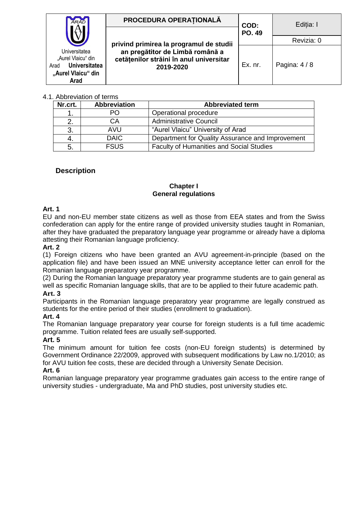| <b>ARAD</b>                                                                                              | PROCEDURA OPERATIONALĂ                                                                  | COD:<br><b>PO. 49</b> | Editia: I     |
|----------------------------------------------------------------------------------------------------------|-----------------------------------------------------------------------------------------|-----------------------|---------------|
|                                                                                                          |                                                                                         |                       |               |
|                                                                                                          | privind primirea la programul de studii                                                 |                       | Revizia: 0    |
| Universitatea<br>"Aurel Vlaicu" din<br><b>Universitatea</b><br>Arad<br>"Aurel Vlaicu" din<br><b>Arad</b> | an pregătitor de Limbă română a<br>cetățenilor străini în anul universitar<br>2019-2020 | Ex. nr.               | Pagina: $4/8$ |

#### 4.1. Abbreviation of terms

| Nr.crt. | <b>Abbreviation</b> | <b>Abbreviated term</b>                          |
|---------|---------------------|--------------------------------------------------|
|         | PO.                 | Operational procedure                            |
|         | CА                  | <b>Administrative Council</b>                    |
|         | AVU                 | "Aurel Vlaicu" University of Arad                |
|         | <b>DAIC</b>         | Department for Quality Assurance and Improvement |
| 5.      | <b>FSUS</b>         | <b>Faculty of Humanities and Social Studies</b>  |

#### <span id="page-3-1"></span><span id="page-3-0"></span>**Description**

#### **Chapter I General regulations**

#### <span id="page-3-2"></span>**Art. 1**

EU and non-EU member state citizens as well as those from EEA states and from the Swiss confederation can apply for the entire range of provided university studies taught in Romanian, after they have graduated the preparatory language year programme or already have a diploma attesting their Romanian language proficiency.

#### **Art. 2**

(1) Foreign citizens who have been granted an AVU agreement-in-principle (based on the application file) and have been issued an MNE university acceptance letter can enroll for the Romanian language preparatory year programme.

(2) During the Romanian language preparatory year programme students are to gain general as well as specific Romanian language skills, that are to be applied to their future academic path.

#### **Art. 3**

Participants in the Romanian language preparatory year programme are legally construed as students for the entire period of their studies (enrollment to graduation).

#### **Art. 4**

The Romanian language preparatory year course for foreign students is a full time academic programme. Tuition related fees are usually self-supported.

#### **Art. 5**

The minimum amount for tuition fee costs (non-EU foreign students) is determined by Government Ordinance 22/2009, approved with subsequent modifications by Law no.1/2010; as for AVU tuition fee costs, these are decided through a University Senate Decision.

#### **Art. 6**

Romanian language preparatory year programme graduates gain access to the entire range of university studies - undergraduate, Ma and PhD studies, post university studies etc.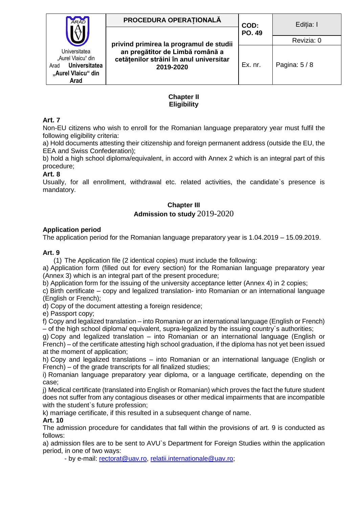| <b>ARAD</b>                                                                                       | PROCEDURA OPERATIONALĂ                                                                                                             | COD:          | Editia: I     |
|---------------------------------------------------------------------------------------------------|------------------------------------------------------------------------------------------------------------------------------------|---------------|---------------|
|                                                                                                   |                                                                                                                                    | <b>PO. 49</b> | Revizia: 0    |
| Universitatea<br>"Aurel Vlaicu" din<br>Universitatea<br>Arad<br>"Aurel Vlaicu" din<br><b>Arad</b> | privind primirea la programul de studii<br>an pregătitor de Limbă română a<br>cetățenilor străini în anul universitar<br>2019-2020 | Ex. nr.       | Pagina: $5/8$ |

#### **Chapter II Eligibility**

#### <span id="page-4-1"></span><span id="page-4-0"></span>**Art. 7**

Non-EU citizens who wish to enroll for the Romanian language preparatory year must fulfil the following eligibility criteria:

a) Hold documents attesting their citizenship and foreign permanent address (outside the EU, the EEA and Swiss Confederation);

b) hold a high school diploma/equivalent, in accord with Annex 2 which is an integral part of this procedure;

#### **Art. 8**

<span id="page-4-2"></span>Usually, for all enrollment, withdrawal etc. related activities, the candidate`s presence is mandatory.

# **Chapter III Admission to study** 2019-2020

#### <span id="page-4-3"></span>**Application period**

The application period for the Romanian language preparatory year is 1.04.2019 – 15.09.2019.

#### **Art. 9**

(1) The Application file (2 identical copies) must include the following:

a) Application form (filled out for every section) for the Romanian language preparatory year (Annex 3) which is an integral part of the present procedure;

b) Application form for the issuing of the university acceptance letter (Annex 4) in 2 copies;

c) Birth certificate – copy and legalized translation- into Romanian or an international language (English or French);

d) Copy of the document attesting a foreign residence;

e) Passport copy;

f) Copy and legalized translation – into Romanian or an international language (English or French) – of the high school diploma/ equivalent, supra-legalized by the issuing country`s authorities;

g) Copy and legalized translation – into Romanian or an international language (English or French) – of the certificate attesting high school graduation, if the diploma has not yet been issued at the moment of application;

h) Copy and legalized translations – into Romanian or an international language (English or French) – of the grade transcripts for all finalized studies;

i) Romanian language preparatory year diploma, or a language certificate, depending on the case;

j) Medical certificate (translated into English or Romanian) which proves the fact the future student does not suffer from any contagious diseases or other medical impairments that are incompatible with the student's future profession;

k) marriage certificate, if this resulted in a subsequent change of name.

#### **Art. 10**

The admission procedure for candidates that fall within the provisions of art. 9 is conducted as follows:

a) admission files are to be sent to AVU`s Department for Foreign Studies within the application period, in one of two ways:

- by e-mail: [rectorat@uav.ro,](mailto:rectorat@uav.ro) [relatii.internationale@uav.ro;](mailto:relatii.internationale@uav.ro)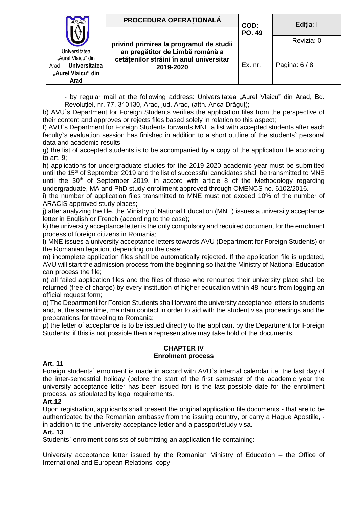| <b>ARAD</b>                                                                                       | PROCEDURA OPERATIONALĂ                                                                                                             | COD:          | Editia: I   |
|---------------------------------------------------------------------------------------------------|------------------------------------------------------------------------------------------------------------------------------------|---------------|-------------|
|                                                                                                   |                                                                                                                                    | <b>PO. 49</b> | Revizia: 0  |
| Universitatea<br>"Aurel Vlaicu" din<br><b>Universitatea</b><br>Arad<br>"Aurel Vlaicu" din<br>Arad | privind primirea la programul de studii<br>an pregătitor de Limbă română a<br>cetățenilor străini în anul universitar<br>2019-2020 | Ex. nr.       | Pagina: 6/8 |

- by regular mail at the following address: Universitatea "Aurel Vlaicu" din Arad, Bd. Revoluției, nr. 77, 310130, Arad, jud. Arad, (attn. Anca Drăguț);

b) AVU`s Department for Foreign Students verifies the application files from the perspective of their content and approves or rejects files based solely in relation to this aspect;

f) AVU`s Department for Foreign Students forwards MNE a list with accepted students after each faculty`s evaluation session has finished in addition to a short outline of the students` personal data and academic results;

g) the list of accepted students is to be accompanied by a copy of the application file according to art. 9;

h) applications for undergraduate studies for the 2019-2020 academic year must be submitted until the 15<sup>th</sup> of September 2019 and the list of successful candidates shall be transmitted to MNE until the  $30<sup>th</sup>$  of September 2019, in accord with article 8 of the Methodology regarding undergraduate, MA and PhD study enrollment approved through OMENCS no. 6102/2016.

i) the number of application files transmitted to MNE must not exceed 10% of the number of ARACIS approved study places;

j) after analyzing the file, the Ministry of National Education (MNE) issues a university acceptance letter in English or French (according to the case);

k) the university acceptance letter is the only compulsory and required document for the enrolment process of foreign citizens in Romania;

l) MNE issues a university acceptance letters towards AVU (Department for Foreign Students) or the Romanian legation, depending on the case;

m) incomplete application files shall be automatically rejected. If the application file is updated, AVU will start the admission process from the beginning so that the Ministry of National Education can process the file;

n) all failed application files and the files of those who renounce their university place shall be returned (free of charge) by every institution of higher education within 48 hours from logging an official request form;

o) The Department for Foreign Students shall forward the university acceptance letters to students and, at the same time, maintain contact in order to aid with the student visa proceedings and the preparations for traveling to Romania;

p) the letter of acceptance is to be issued directly to the applicant by the Department for Foreign Students; if this is not possible then a representative may take hold of the documents.

#### **CHAPTER IV Enrolment process**

#### <span id="page-5-1"></span><span id="page-5-0"></span>**Art. 11**

Foreign students` enrolment is made in accord with AVU`s internal calendar i.e. the last day of the inter-semestrial holiday (before the start of the first semester of the academic year the university acceptance letter has been issued for) is the last possible date for the enrollment process, as stipulated by legal requirements.

#### **Art.12**

Upon registration, applicants shall present the original application file documents - that are to be authenticated by the Romanian embassy from the issuing country, or carry a Hague Apostille, in addition to the university acceptance letter and a passport/study visa.

#### **Art. 13**

Students` enrolment consists of submitting an application file containing:

University acceptance letter issued by the Romanian Ministry of Education – the Office of International and European Relations–copy;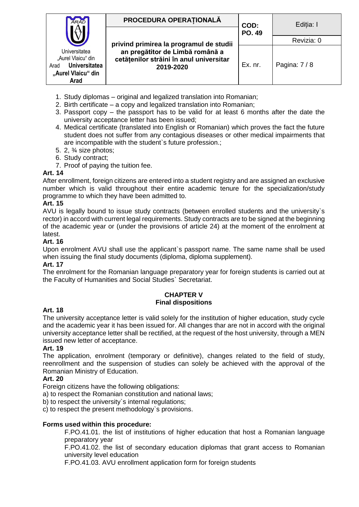| <b>ARAD</b>                                        | PROCEDURA OPERAȚIONALĂ                                                     | COD:<br><b>PO. 49</b> | Editia: I   |
|----------------------------------------------------|----------------------------------------------------------------------------|-----------------------|-------------|
|                                                    |                                                                            |                       | Revizia: 0  |
| Universitatea                                      | privind primirea la programul de studii<br>an pregătitor de Limbă română a |                       |             |
| "Aurel Vlaicu" din<br><b>Universitatea</b><br>Arad | cetățenilor străini în anul universitar<br>2019-2020                       | Ex. nr.               | Pagina: 7/8 |
| "Aurel Vlaicu" din<br>Arad                         |                                                                            |                       |             |

- 1. Study diplomas original and legalized translation into Romanian;
- 2. Birth certificate a copy and legalized translation into Romanian;
- 3. Passport copy the passport has to be valid for at least 6 months after the date the university acceptance letter has been issued;
- 4. Medical certificate (translated into English or Romanian) which proves the fact the future student does not suffer from any contagious diseases or other medical impairments that are incompatible with the student`s future profession.;
- 5. 2, ¾ size photos;
- 6. Study contract;
- 7. Proof of paying the tuition fee.

#### **Art. 14**

After enrollment, foreign citizens are entered into a student registry and are assigned an exclusive number which is valid throughout their entire academic tenure for the specialization/study programme to which they have been admitted to.

#### **Art. 15**

AVU is legally bound to issue study contracts (between enrolled students and the university`s rector) in accord with current legal requirements. Study contracts are to be signed at the beginning of the academic year or (under the provisions of article 24) at the moment of the enrolment at latest.

#### **Art. 16**

Upon enrolment AVU shall use the applicant`s passport name. The same name shall be used when issuing the final study documents (diploma, diploma supplement).

#### **Art. 17**

The enrolment for the Romanian language preparatory year for foreign students is carried out at the Faculty of Humanities and Social Studies` Secretariat.

#### **CHAPTER V Final dispositions**

#### <span id="page-6-1"></span><span id="page-6-0"></span>**Art. 18**

The university acceptance letter is valid solely for the institution of higher education, study cycle and the academic year it has been issued for. All changes thar are not in accord with the original university acceptance letter shall be rectified, at the request of the host university, through a MEN issued new letter of acceptance.

#### **Art. 19**

The application, enrolment (temporary or definitive), changes related to the field of study, reenrollment and the suspension of studies can solely be achieved with the approval of the Romanian Ministry of Education.

#### **Art. 20**

Foreign citizens have the following obligations:

a) to respect the Romanian constitution and national laws;

b) to respect the university`s internal regulations;

c) to respect the present methodology`s provisions.

#### **Forms used within this procedure:**

F.PO.41.01. the list of institutions of higher education that host a Romanian language preparatory year

F.PO.41.02. the list of secondary education diplomas that grant access to Romanian university level education

F.PO.41.03. AVU enrollment application form for foreign students